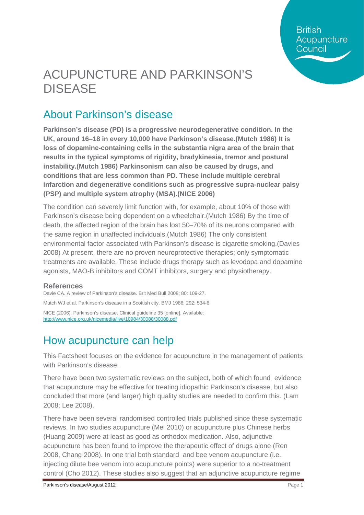**British** Acupuncture Council

# ACUPUNCTURE AND PARKINSON'S DISEASE

### About Parkinson's disease

**Parkinson's disease (PD) is a progressive neurodegenerative condition. In the UK, around 16–18 in every 10,000 have Parkinson's disease.(Mutch 1986) It is loss of dopamine-containing cells in the substantia nigra area of the brain that results in the typical symptoms of rigidity, bradykinesia, tremor and postural instability.(Mutch 1986) Parkinsonism can also be caused by drugs, and conditions that are less common than PD. These include multiple cerebral infarction and degenerative conditions such as progressive supra-nuclear palsy (PSP) and multiple system atrophy (MSA).(NICE 2006)**

The condition can severely limit function with, for example, about 10% of those with Parkinson's disease being dependent on a wheelchair.(Mutch 1986) By the time of death, the affected region of the brain has lost 50–70% of its neurons compared with the same region in unaffected individuals.(Mutch 1986) The only consistent environmental factor associated with Parkinson's disease is cigarette smoking.(Davies 2008) At present, there are no proven neuroprotective therapies; only symptomatic treatments are available. These include drugs therapy such as levodopa and dopamine agonists, MAO-B inhibitors and COMT inhibitors, surgery and physiotherapy.

#### **References**

Davie CA. A review of Parkinson's disease. Brit Med Bull 2008; 80: 109-27. Mutch WJ et al. Parkinson's disease in a Scottish city. BMJ 1986; 292: 534-6. NICE (2006). Parkinson's disease. Clinical guideline 35 [online]. Available: <http://www.nice.org.uk/nicemedia/live/10984/30088/30088.pdf>

#### How acupuncture can help

This Factsheet focuses on the evidence for acupuncture in the management of patients with Parkinson's disease.

There have been two systematic reviews on the subject, both of which found evidence that acupuncture may be effective for treating idiopathic Parkinson's disease, but also concluded that more (and larger) high quality studies are needed to confirm this. (Lam 2008; Lee 2008).

There have been several randomised controlled trials published since these systematic reviews. In two studies acupuncture (Mei 2010) or acupuncture plus Chinese herbs (Huang 2009) were at least as good as orthodox medication. Also, adjunctive acupuncture has been found to improve the therapeutic effect of drugs alone (Ren 2008, Chang 2008). In one trial both standard and bee venom acupuncture (i.e. injecting dilute bee venom into acupuncture points) were superior to a no-treatment control (Cho 2012). These studies also suggest that an adjunctive acupuncture regime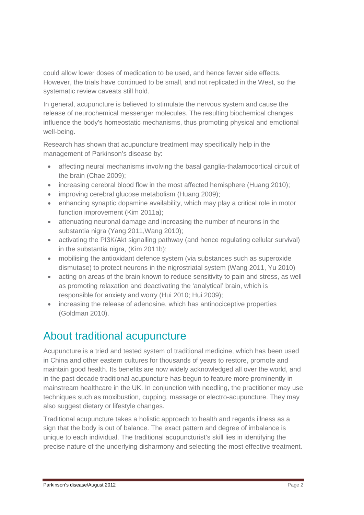could allow lower doses of medication to be used, and hence fewer side effects. However, the trials have continued to be small, and not replicated in the West, so the systematic review caveats still hold.

In general, acupuncture is believed to stimulate the nervous system and cause the release of neurochemical messenger molecules. The resulting biochemical changes influence the body's homeostatic mechanisms, thus promoting physical and emotional well-being.

Research has shown that acupuncture treatment may specifically help in the management of Parkinson's disease by:

- affecting neural mechanisms involving the basal ganglia-thalamocortical circuit of the brain (Chae 2009);
- increasing cerebral blood flow in the most affected hemisphere (Huang 2010):
- improving cerebral glucose metabolism (Huang 2009);
- enhancing synaptic dopamine availability, which may play a critical role in motor function improvement (Kim 2011a);
- attenuating neuronal damage and increasing the number of neurons in the substantia nigra (Yang 2011,Wang 2010);
- activating the PI3K/Akt signalling pathway (and hence regulating cellular survival) in the substantia nigra, (Kim 2011b);
- mobilising the antioxidant defence system (via substances such as superoxide dismutase) to protect neurons in the nigrostriatal system (Wang 2011, Yu 2010)
- acting on areas of the brain known to reduce sensitivity to pain and stress, as well as promoting relaxation and deactivating the 'analytical' brain, which is responsible for anxiety and worry (Hui 2010; Hui 2009);
- increasing the release of adenosine, which has antinociceptive properties (Goldman 2010).

## About traditional acupuncture

Acupuncture is a tried and tested system of traditional medicine, which has been used in China and other eastern cultures for thousands of years to restore, promote and maintain good health. Its benefits are now widely acknowledged all over the world, and in the past decade traditional acupuncture has begun to feature more prominently in mainstream healthcare in the UK. In conjunction with needling, the practitioner may use techniques such as moxibustion, cupping, massage or electro-acupuncture. They may also suggest dietary or lifestyle changes.

Traditional acupuncture takes a holistic approach to health and regards illness as a sign that the body is out of balance. The exact pattern and degree of imbalance is unique to each individual. The traditional acupuncturist's skill lies in identifying the precise nature of the underlying disharmony and selecting the most effective treatment.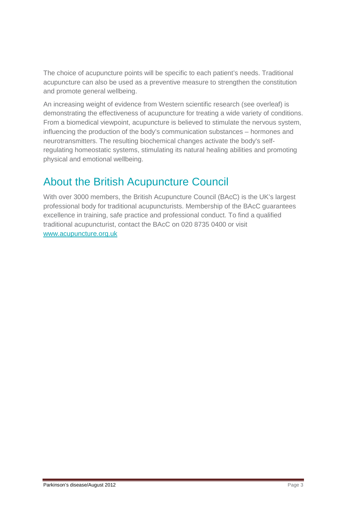The choice of acupuncture points will be specific to each patient's needs. Traditional acupuncture can also be used as a preventive measure to strengthen the constitution and promote general wellbeing.

An increasing weight of evidence from Western scientific research (see overleaf) is demonstrating the effectiveness of acupuncture for treating a wide variety of conditions. From a biomedical viewpoint, acupuncture is believed to stimulate the nervous system, influencing the production of the body's communication substances – hormones and neurotransmitters. The resulting biochemical changes activate the body's selfregulating homeostatic systems, stimulating its natural healing abilities and promoting physical and emotional wellbeing.

### About the British Acupuncture Council

With over 3000 members, the British Acupuncture Council (BAcC) is the UK's largest professional body for traditional acupuncturists. Membership of the BAcC guarantees excellence in training, safe practice and professional conduct. To find a qualified traditional acupuncturist, contact the BAcC on 020 8735 0400 or visit [www.acupuncture.org.uk](http://www.acupuncture.org.uk/)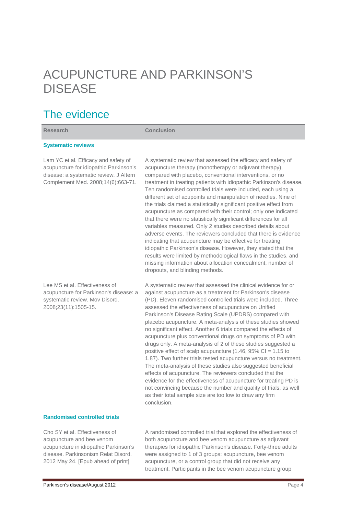# ACUPUNCTURE AND PARKINSON'S DISEASE

### The evidence

| <b>Research</b>                                                                                                                                                | <b>Conclusion</b>                                                                                                                                                                                                                                                                                                                                                                                                                                                                                                                                                                                                                                                                                                                                                                                                                                                                                                                                                                                                                                                     |
|----------------------------------------------------------------------------------------------------------------------------------------------------------------|-----------------------------------------------------------------------------------------------------------------------------------------------------------------------------------------------------------------------------------------------------------------------------------------------------------------------------------------------------------------------------------------------------------------------------------------------------------------------------------------------------------------------------------------------------------------------------------------------------------------------------------------------------------------------------------------------------------------------------------------------------------------------------------------------------------------------------------------------------------------------------------------------------------------------------------------------------------------------------------------------------------------------------------------------------------------------|
| <b>Systematic reviews</b>                                                                                                                                      |                                                                                                                                                                                                                                                                                                                                                                                                                                                                                                                                                                                                                                                                                                                                                                                                                                                                                                                                                                                                                                                                       |
| Lam YC et al. Efficacy and safety of<br>acupuncture for idiopathic Parkinson's<br>disease: a systematic review. J Altern<br>Complement Med. 2008;14(6):663-71. | A systematic review that assessed the efficacy and safety of<br>acupuncture therapy (monotherapy or adjuvant therapy),<br>compared with placebo, conventional interventions, or no<br>treatment in treating patients with idiopathic Parkinson's disease.<br>Ten randomised controlled trials were included, each using a<br>different set of acupoints and manipulation of needles. Nine of<br>the trials claimed a statistically significant positive effect from<br>acupuncture as compared with their control; only one indicated<br>that there were no statistically significant differences for all<br>variables measured. Only 2 studies described details about<br>adverse events. The reviewers concluded that there is evidence<br>indicating that acupuncture may be effective for treating<br>idiopathic Parkinson's disease. However, they stated that the<br>results were limited by methodological flaws in the studies, and<br>missing information about allocation concealment, number of<br>dropouts, and blinding methods.                         |
| Lee MS et al. Effectiveness of<br>acupuncture for Parkinson's disease: a<br>systematic review. Mov Disord.<br>2008;23(11):1505-15.                             | A systematic review that assessed the clinical evidence for or<br>against acupuncture as a treatment for Parkinson's disease<br>(PD). Eleven randomised controlled trials were included. Three<br>assessed the effectiveness of acupuncture on Unified<br>Parkinson's Disease Rating Scale (UPDRS) compared with<br>placebo acupuncture. A meta-analysis of these studies showed<br>no significant effect. Another 6 trials compared the effects of<br>acupuncture plus conventional drugs on symptoms of PD with<br>drugs only. A meta-analysis of 2 of these studies suggested a<br>positive effect of scalp acupuncture (1.46, 95% CI = 1.15 to<br>1.87). Two further trials tested acupuncture versus no treatment.<br>The meta-analysis of these studies also suggested beneficial<br>effects of acupuncture. The reviewers concluded that the<br>evidence for the effectiveness of acupuncture for treating PD is<br>not convincing because the number and quality of trials, as well<br>as their total sample size are too low to draw any firm<br>conclusion. |

#### **Randomised controlled trials**

Cho SY et al. Effectiveness of acupuncture and bee venom acupuncture in idiopathic Parkinson's disease. Parkinsonism Relat Disord. 2012 May 24. [Epub ahead of print]

A randomised controlled trial that explored the effectiveness of both acupuncture and bee venom acupuncture as adjuvant therapies for idiopathic Parkinson's disease. Forty-three adults were assigned to 1 of 3 groups: acupuncture, bee venom acupuncture, or a control group that did not receive any treatment. Participants in the bee venom acupuncture group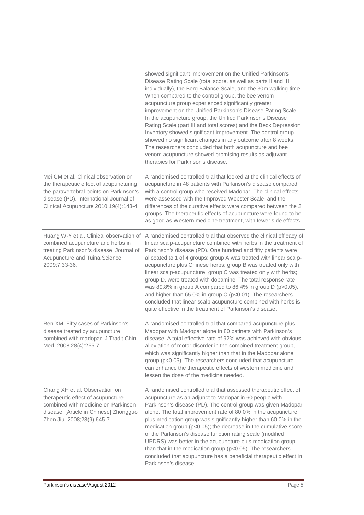|                                                                                                                                                                                                                 | showed significant improvement on the Unified Parkinson's<br>Disease Rating Scale (total score, as well as parts II and III<br>individually), the Berg Balance Scale, and the 30m walking time.<br>When compared to the control group, the bee venom<br>acupuncture group experienced significantly greater<br>improvement on the Unified Parkinson's Disease Rating Scale.<br>In the acupuncture group, the Unified Parkinson's Disease<br>Rating Scale (part III and total scores) and the Beck Depression<br>Inventory showed significant improvement. The control group<br>showed no significant changes in any outcome after 8 weeks.<br>The researchers concluded that both acupuncture and bee<br>venom acupuncture showed promising results as adjuvant<br>therapies for Parkinson's disease. |
|-----------------------------------------------------------------------------------------------------------------------------------------------------------------------------------------------------------------|-------------------------------------------------------------------------------------------------------------------------------------------------------------------------------------------------------------------------------------------------------------------------------------------------------------------------------------------------------------------------------------------------------------------------------------------------------------------------------------------------------------------------------------------------------------------------------------------------------------------------------------------------------------------------------------------------------------------------------------------------------------------------------------------------------|
| Mei CM et al. Clinical observation on<br>the therapeutic effect of acupuncturing<br>the paravertebral points on Parkinson's<br>disease (PD). International Journal of<br>Clinical Acupuncture 2010;19(4):143-4. | A randomised controlled trial that looked at the clinical effects of<br>acupuncture in 48 patients with Parkinson's disease compared<br>with a control group who received Madopar. The clinical effects<br>were assessed with the Improved Webster Scale, and the<br>differences of the curative effects were compared between the 2<br>groups. The therapeutic effects of acupuncture were found to be<br>as good as Western medicine treatment, with fewer side effects.                                                                                                                                                                                                                                                                                                                            |
| Huang W-Y et al. Clinical observation of<br>combined acupuncture and herbs in<br>treating Parkinson's disease. Journal of<br>Acupuncture and Tuina Science.<br>2009;7:33-36.                                    | A randomised controlled trial that observed the clinical efficacy of<br>linear scalp-acupuncture combined with herbs in the treatment of<br>Parkinson's disease (PD). One hundred and fifty patients were<br>allocated to 1 of 4 groups: group A was treated with linear scalp-<br>acupuncture plus Chinese herbs; group B was treated only with<br>linear scalp-acupuncture; group C was treated only with herbs;<br>group D, were treated with dopamine. The total response rate<br>was 89.8% in group A compared to 86.4% in group D (p>0.05),<br>and higher than 65.0% in group C ( $p<0.01$ ). The researchers<br>concluded that linear scalp-acupuncture combined with herbs is<br>quite effective in the treatment of Parkinson's disease.                                                     |
| Ren XM. Fifty cases of Parkinson's<br>disease treated by acupuncture<br>combined with madopar. J Tradit Chin<br>Med. 2008;28(4):255-7.                                                                          | A randomised controlled trial that compared acupuncture plus<br>Madopar with Madopar alone in 80 patinets with Parkinson's<br>disease. A total effective rate of 92% was achieved with obvious<br>alleviation of motor disorder in the combined treatment group,<br>which was significantly higher than that in the Madopar alone<br>group (p<0.05). The researchers concluded that acupuncture<br>can enhance the therapeutic effects of western medicine and<br>lessen the dose of the medicine needed.                                                                                                                                                                                                                                                                                             |
| Chang XH et al. Observation on<br>therapeutic effect of acupuncture<br>combined with medicine on Parkinson<br>disease. [Article in Chinese] Zhongguo<br>Zhen Jiu. 2008;28(9):645-7.                             | A randomised controlled trial that assessed therapeutic effect of<br>acupuncture as an adjunct to Madopar in 60 people with<br>Parkinson's disease (PD). The control group was given Madopar<br>alone. The total improvement rate of 80.0% in the acupuncture<br>plus medication group was significantly higher than 60.0% in the<br>medication group (p<0.05); the decrease in the cumulative score<br>of the Parkinson's disease function rating scale (modified<br>UPDRS) was better in the acupuncture plus medication group<br>than that in the medication group (p<0.05). The researchers<br>concluded that acupuncture has a beneficial therapeutic effect in<br>Parkinson's disease.                                                                                                          |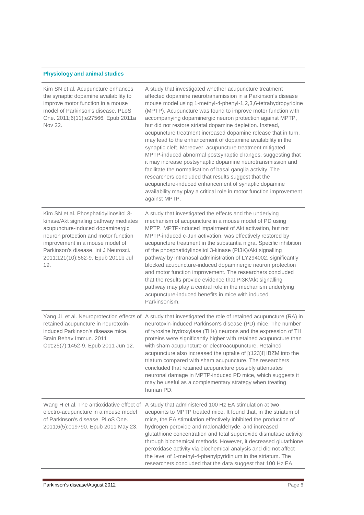#### **Physiology and animal studies**

| Kim SN et al. Acupuncture enhances<br>the synaptic dopamine availability to<br>improve motor function in a mouse<br>model of Parkinson's disease. PLoS<br>One. 2011;6(11):e27566. Epub 2011a<br>Nov 22.                                                                            | A study that investigated whether acupuncture treatment<br>affected dopamine neurotransmission in a Parkinson's disease<br>mouse model using 1-methyl-4-phenyl-1,2,3,6-tetrahydropyridine<br>(MPTP). Acupuncture was found to improve motor function with<br>accompanying dopaminergic neuron protection against MPTP,<br>but did not restore striatal dopamine depletion. Instead,<br>acupuncture treatment increased dopamine release that in turn,<br>may lead to the enhancement of dopamine availability in the<br>synaptic cleft. Moreover, acupuncture treatment mitigated<br>MPTP-induced abnormal postsynaptic changes, suggesting that<br>it may increase postsynaptic dopamine neurotransmission and<br>facilitate the normalisation of basal ganglia activity. The<br>researchers concluded that results suggest that the<br>acupuncture-induced enhancement of synaptic dopamine<br>availability may play a critical role in motor function improvement<br>against MPTP. |
|------------------------------------------------------------------------------------------------------------------------------------------------------------------------------------------------------------------------------------------------------------------------------------|---------------------------------------------------------------------------------------------------------------------------------------------------------------------------------------------------------------------------------------------------------------------------------------------------------------------------------------------------------------------------------------------------------------------------------------------------------------------------------------------------------------------------------------------------------------------------------------------------------------------------------------------------------------------------------------------------------------------------------------------------------------------------------------------------------------------------------------------------------------------------------------------------------------------------------------------------------------------------------------|
| Kim SN et al. Phosphatidylinositol 3-<br>kinase/Akt signaling pathway mediates<br>acupuncture-induced dopaminergic<br>neuron protection and motor function<br>improvement in a mouse model of<br>Parkinson's disease. Int J Neurosci.<br>2011;121(10):562-9. Epub 2011b Jul<br>19. | A study that investigated the effects and the underlying<br>mechanism of acupuncture in a mouse model of PD using<br>MPTP. MPTP-induced impairment of Akt activation, but not<br>MPTP-induced c-Jun activation, was effectively restored by<br>acupuncture treatment in the substantia nigra. Specific inhibition<br>of the phosphatidylinositol 3-kinase (PI3K)/Akt signalling<br>pathway by intranasal administration of LY294002, significantly<br>blocked acupuncture-induced dopaminergic neuron protection<br>and motor function improvement. The researchers concluded<br>that the results provide evidence that PI3K/Akt signalling<br>pathway may play a central role in the mechanism underlying<br>acupuncture-induced benefits in mice with induced<br>Parkinsonism.                                                                                                                                                                                                      |
| retained acupuncture in neurotoxin-<br>induced Parkinson's disease mice.<br>Brain Behav Immun, 2011<br>Oct;25(7):1452-9. Epub 2011 Jun 12.                                                                                                                                         | Yang JL et al. Neuroprotection effects of A study that investigated the role of retained acupuncture (RA) in<br>neurotoxin-induced Parkinson's disease (PD) mice. The number<br>of tyrosine hydroxylase (TH+) neurons and the expression of TH<br>proteins were significantly higher with retained acupuncture than<br>with sham acupuncture or electroacupuncture. Retained<br>acupuncture also increased the uptake of [(123)I] IBZM into the<br>triatum compared with sham acupuncture. The researchers<br>concluded that retained acupuncture possibly attenuates<br>neuronal damage in MPTP-induced PD mice, which suggests it<br>may be useful as a complementary strategy when treating<br>human PD.                                                                                                                                                                                                                                                                           |
| Wang H et al. The antioxidative effect of<br>electro-acupuncture in a mouse model<br>of Parkinson's disease. PLoS One.<br>2011;6(5):e19790. Epub 2011 May 23.                                                                                                                      | A study that administered 100 Hz EA stimulation at two<br>acupoints to MPTP treated mice. It found that, in the striatum of<br>mice, the EA stimulation effectively inhibited the production of<br>hydrogen peroxide and malonaldehyde, and increased<br>glutathione concentration and total superoxide dismutase activity<br>through biochemical methods. However, it decreased glutathione<br>peroxidase activity via biochemical analysis and did not affect<br>the level of 1-methyl-4-phenylpyridinium in the striatum. The<br>researchers concluded that the data suggest that 100 Hz EA                                                                                                                                                                                                                                                                                                                                                                                        |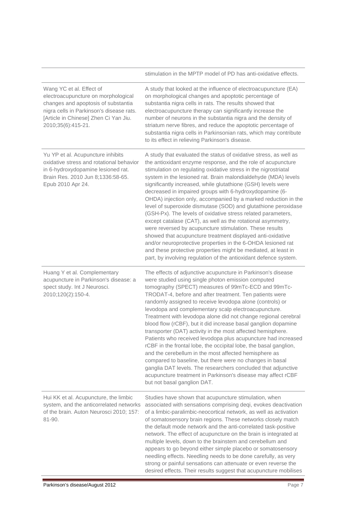|                                                                                                                                                                                                                   | stimulation in the MPTP model of PD has anti-oxidative effects.                                                                                                                                                                                                                                                                                                                                                                                                                                                                                                                                                                                                                                                                                                                                                                                                                                                                                                                                     |
|-------------------------------------------------------------------------------------------------------------------------------------------------------------------------------------------------------------------|-----------------------------------------------------------------------------------------------------------------------------------------------------------------------------------------------------------------------------------------------------------------------------------------------------------------------------------------------------------------------------------------------------------------------------------------------------------------------------------------------------------------------------------------------------------------------------------------------------------------------------------------------------------------------------------------------------------------------------------------------------------------------------------------------------------------------------------------------------------------------------------------------------------------------------------------------------------------------------------------------------|
| Wang YC et al. Effect of<br>electroacupuncture on morphological<br>changes and apoptosis of substantia<br>nigra cells in Parkinson's disease rats.<br>[Article in Chinese] Zhen Ci Yan Jiu.<br>2010;35(6):415-21. | A study that looked at the influence of electroacupuncture (EA)<br>on morphological changes and apoptotic percentage of<br>substantia nigra cells in rats. The results showed that<br>electroacupuncture therapy can significantly increase the<br>number of neurons in the substantia nigra and the density of<br>striatum nerve fibres, and reduce the apoptotic percentage of<br>substantia nigra cells in Parkinsonian rats, which may contribute<br>to its effect in relieving Parkinson's disease.                                                                                                                                                                                                                                                                                                                                                                                                                                                                                            |
| Yu YP et al. Acupuncture inhibits<br>oxidative stress and rotational behavior<br>in 6-hydroxydopamine lesioned rat.<br>Brain Res. 2010 Jun 8;1336:58-65.<br>Epub 2010 Apr 24.                                     | A study that evaluated the status of oxidative stress, as well as<br>the antioxidant enzyme response, and the role of acupuncture<br>stimulation on regulating oxidative stress in the nigrostriatal<br>system in the lesioned rat. Brain malondialdehyde (MDA) levels<br>significantly increased, while glutathione (GSH) levels were<br>decreased in impaired groups with 6-hydroxydopamine (6-<br>OHDA) injection only, accompanied by a marked reduction in the<br>level of superoxide dismutase (SOD) and glutathione peroxidase<br>(GSH-Px). The levels of oxidative stress related parameters,<br>except catalase (CAT), as well as the rotational asymmetry,<br>were reversed by acupuncture stimulation. These results<br>showed that acupuncture treatment displayed anti-oxidative<br>and/or neuroprotective properties in the 6-OHDA lesioned rat<br>and these protective properties might be mediated, at least in<br>part, by involving regulation of the antioxidant defence system. |
| Huang Y et al. Complementary<br>acupuncture in Parkinson's disease: a<br>spect study. Int J Neurosci.<br>2010;120(2):150-4.                                                                                       | The effects of adjunctive acupuncture in Parkinson's disease<br>were studied using single photon emission computed<br>tomography (SPECT) measures of 99mTc-ECD and 99mTc-<br>TRODAT-4, before and after treatment. Ten patients were<br>randomly assigned to receive levodopa alone (controls) or<br>levodopa and complementary scalp electroacupuncture.<br>Treatment with levodopa alone did not change regional cerebral<br>blood flow (rCBF), but it did increase basal ganglion dopamine<br>transporter (DAT) activity in the most affected hemisphere.<br>Patients who received levodopa plus acupuncture had increased<br>rCBF in the frontal lobe, the occipital lobe, the basal ganglion,<br>and the cerebellum in the most affected hemisphere as<br>compared to baseline, but there were no changes in basal<br>ganglia DAT levels. The researchers concluded that adjunctive<br>acupuncture treatment in Parkinson's disease may affect rCBF<br>but not basal ganglion DAT.             |
| Hui KK et al. Acupuncture, the limbic<br>system, and the anticorrelated networks<br>of the brain. Auton Neurosci 2010; 157:<br>81-90.                                                                             | Studies have shown that acupuncture stimulation, when<br>associated with sensations comprising deqi, evokes deactivation<br>of a limbic-paralimbic-neocortical network, as well as activation<br>of somatosensory brain regions. These networks closely match<br>the default mode network and the anti-correlated task-positive<br>network. The effect of acupuncture on the brain is integrated at<br>multiple levels, down to the brainstem and cerebellum and<br>appears to go beyond either simple placebo or somatosensory<br>needling effects. Needling needs to be done carefully, as very<br>strong or painful sensations can attenuate or even reverse the<br>desired effects. Their results suggest that acupuncture mobilises                                                                                                                                                                                                                                                            |